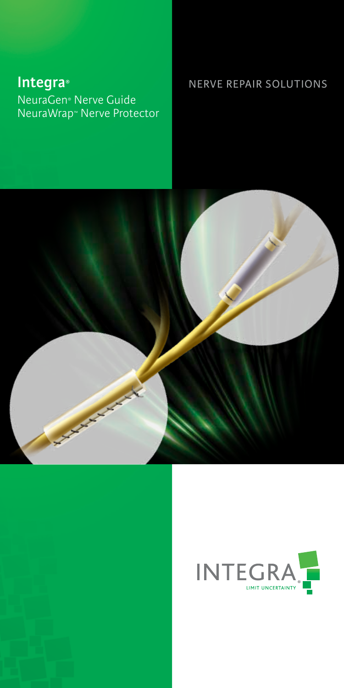# **Integra®** NeuraGen® Nerve Guide NeuraWrap™ Nerve Protector

## NERVE REPAIR SOLUTIONS



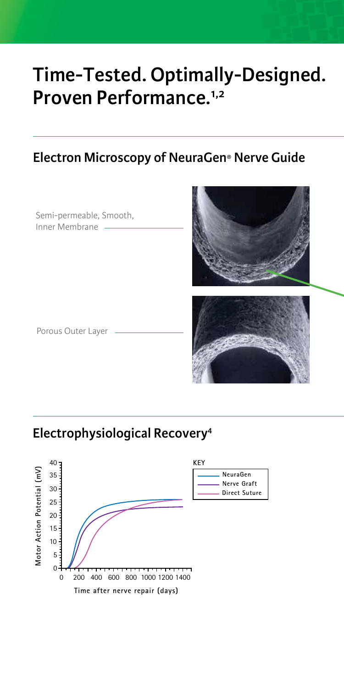# **Time-Tested. Optimally-Designed. Proven Performance.1,2**

## **Electron Microscopy of NeuraGen® Nerve Guide**

Semi-permeable, Smooth, Inner Membrane



Porous Outer Layer



## **Electrophysiological Recovery4**

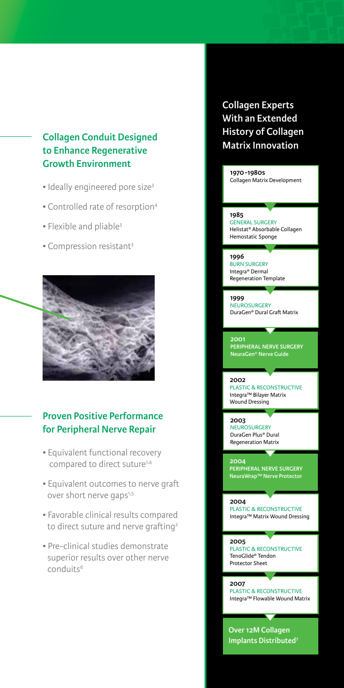## **Matrix Innovation Collagen Conduit Designed to Enhance Regenerative Growth Environment**

- Ideally engineered pore size<sup>3</sup>
- Controlled rate of resorption4
- Flexible and pliable3
- Compression resistant3



### **Proven Positive Performance for Peripheral Nerve Repair**

- Equivalent functional recovery compared to direct suture<sup>1,4</sup>
- Equivalent outcomes to nerve graft over short nerve gaps<sup>1,5</sup>
- Favorable clinical results compared to direct suture and nerve grafting<sup>2</sup>
- Pre-clinical studies demonstrate superior results over other nerve conduits<sup>6</sup>

# **Collagen Experts With an Extended History of Collagen**

**1970 -1980s** Collagen Matrix Development

**1985** GENERAL SURGERY Helistat® Absorbable Collagen Hemostatic Sponge

### **1996**

BURN SURGERY Integra® Dermal Regeneration Template

#### **1999**

**NEUROSURGERY** DuraGen® Dural Graft Matrix

### **2001**

**PERIPHERAL NERVE SURGERY NeuraGen® Nerve Guide**

### **2002**

PLASTIC & RECONSTRUCTIVE Integra™ Bilayer Matrix Wound Dressing

**2003** NEUROSURGERY DuraGen Plus® Dural Regeneration Matrix

**2004 PERIPHERAL NERVE SURGERY NeuraWrap™ Nerve Protector**

**2004** PLASTIC & RECONSTRUCTIVE Integra™ Matrix Wound Dressing

**2005**

PLASTIC & RECONSTRUCTIVE TenoGlide® Tendon Protector Sheet

**2007** PLASTIC & RECONSTRUCTIVE Integra™ Flowable Wound Matrix

 $\overline{\phantom{a}}$ 

**Over 12M Collagen Implants Distributed7**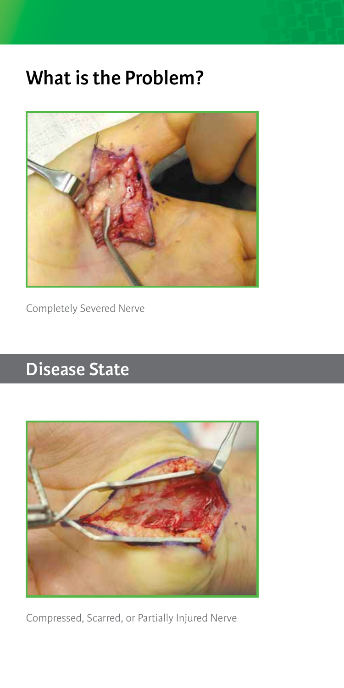# **What is the Problem?**



Completely Severed Nerve

# **Disease State**



Compressed, Scarred, or Partially Injured Nerve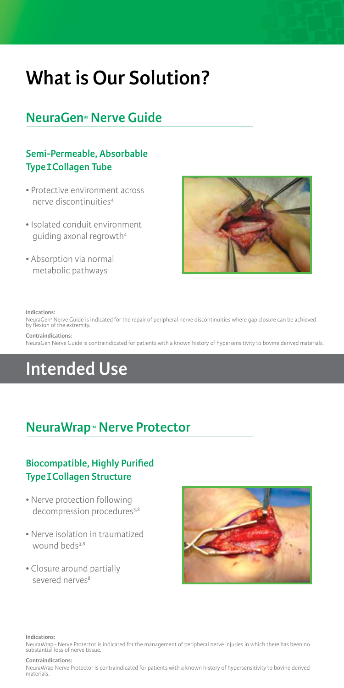# **What is Our Solution?**

# **NeuraGen® Nerve Guide**

## **Semi-Permeable, Absorbable Type I Collagen Tube**

- Protective environment across nerve discontinuities4
- Isolated conduit environment guiding axonal regrowth4
- Absorption via normal metabolic pathways



#### **Indications:**

NeuraGen® Nerve Guide is indicated for the repair of peripheral nerve discontinuities where gap closure can be achieved by flexion of the extremity.

### **Contraindications:**

NeuraGen Nerve Guide is contraindicated for patients with a known history of hypersensitivity to bovine derived materials.

# **Intended Use**

# **NeuraWrap™ Nerve Protector**

## **Biocompatible, Highly Purified Type I Collagen Structure**

- Nerve protection following decompression procedures<sup>3,8</sup>
- Nerve isolation in traumatized wound beds<sup>3,8</sup>
- Closure around partially severed nerves<sup>8</sup>



**Indications:** 

NeuraWrap™ Nerve Protector is indicated for the management of peripheral nerve injuries in which there has been no substantial loss of nerve tissue.

### **Contraindications:**

NeuraWrap Nerve Protector is contraindicated for patients with a known history of hypersensitivity to bovine derived materials.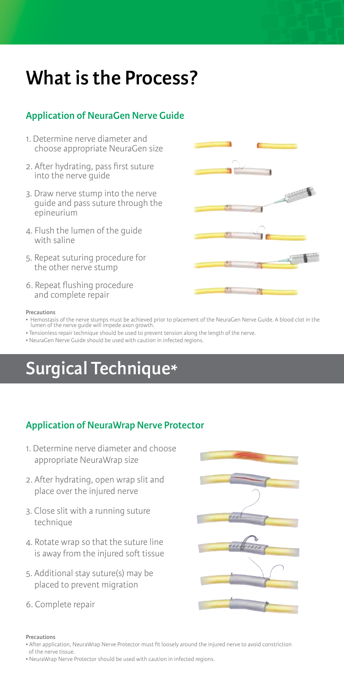# **What is the Process?**

## **Application of NeuraGen Nerve Guide**

- 1. Determine nerve diameter and choose appropriate NeuraGen size
- 2. After hydrating, pass first suture into the nerve guide
- 3. Draw nerve stump into the nerve guide and pass suture through the epineurium
- 4. Flush the lumen of the guide with saline
- 5. Repeat suturing procedure for the other nerve stump
- 6. Repeat flushing procedure and complete repair

### **Precautions**

- Hemostasis of the nerve stumps must be achieved prior to placement of the NeuraGen Nerve Guide. A blood clot in the lumen of the nerve guide will impede axon growth.
- Tensionless repair technique should be used to prevent tension along the length of the nerve.
- NeuraGen Nerve Guide should be used with caution in infected regions.

# **Surgical Technique\***

## **Application of NeuraWrap Nerve Protector**

- 1. Determine nerve diameter and choose appropriate NeuraWrap size
- 2. After hydrating, open wrap slit and place over the injured nerve
- 3. Close slit with a running suture technique
- 4. Rotate wrap so that the suture line is away from the injured soft tissue
- 5. Additional stay suture(s) may be placed to prevent migration
- 6. Complete repair



### **Precautions**

- After application, NeuraWrap Nerve Protector must fit loosely around the injured nerve to avoid constriction of the nerve tissue.
- NeuraWrap Nerve Protector should be used with caution in infected regions.

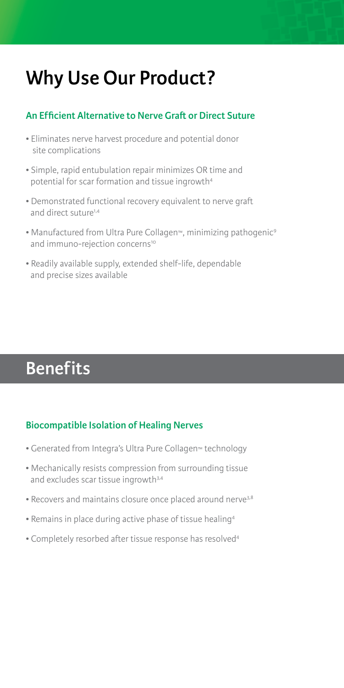# **Why Use Our Product?**

## **An Efficient Alternative to Nerve Graft or Direct Suture**

- Eliminates nerve harvest procedure and potential donor site complications
- Simple, rapid entubulation repair minimizes OR time and potential for scar formation and tissue ingrowth4
- Demonstrated functional recovery equivalent to nerve graft and direct suture<sup>1,4</sup>
- Manufactured from Ultra Pure Collagen™, minimizing pathogenic9 and immuno-rejection concerns<sup>10</sup>
- Readily available supply, extended shelf-life, dependable and precise sizes available

# **Benefits**

## **Biocompatible Isolation of Healing Nerves**

- Generated from Integra's Ultra Pure Collagen™ technology
- Mechanically resists compression from surrounding tissue and excludes scar tissue ingrowth<sup>3,4</sup>
- Recovers and maintains closure once placed around nerve<sup>3,8</sup>
- Remains in place during active phase of tissue healing4
- Completely resorbed after tissue response has resolved4